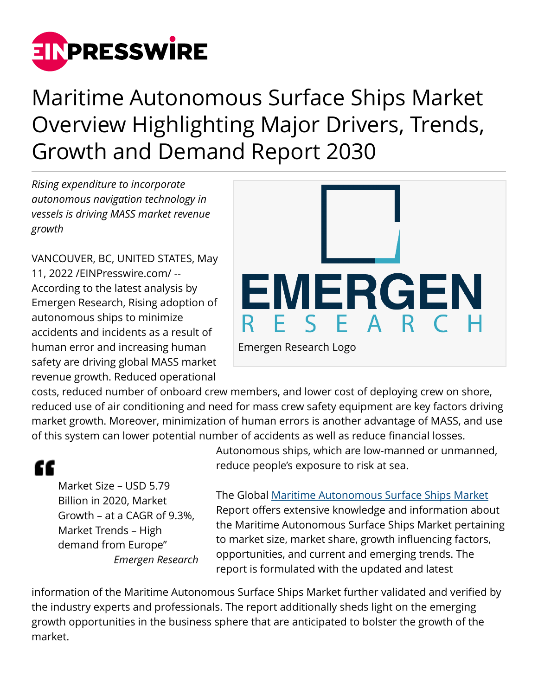

Maritime Autonomous Surface Ships Market Overview Highlighting Major Drivers, Trends, Growth and Demand Report 2030

*Rising expenditure to incorporate autonomous navigation technology in vessels is driving MASS market revenue growth*

VANCOUVER, BC, UNITED STATES, May 11, 2022 /[EINPresswire.com/](http://www.einpresswire.com) -- According to the latest analysis by Emergen Research, Rising adoption of autonomous ships to minimize accidents and incidents as a result of human error and increasing human safety are driving global MASS market revenue growth. Reduced operational



costs, reduced number of onboard crew members, and lower cost of deploying crew on shore, reduced use of air conditioning and need for mass crew safety equipment are key factors driving market growth. Moreover, minimization of human errors is another advantage of MASS, and use of this system can lower potential number of accidents as well as reduce financial losses.

## "

Market Size – USD 5.79 Billion in 2020, Market Growth – at a CAGR of 9.3%, Market Trends – High demand from Europe" *Emergen Research* Autonomous ships, which are low-manned or unmanned, reduce people's exposure to risk at sea.

The Global [Maritime Autonomous Surface Ships Market](https://www.emergenresearch.com/industry-report/maritime-autonomous-surface-ships-market) Report offers extensive knowledge and information about the Maritime Autonomous Surface Ships Market pertaining to market size, market share, growth influencing factors, opportunities, and current and emerging trends. The report is formulated with the updated and latest

information of the Maritime Autonomous Surface Ships Market further validated and verified by the industry experts and professionals. The report additionally sheds light on the emerging growth opportunities in the business sphere that are anticipated to bolster the growth of the market.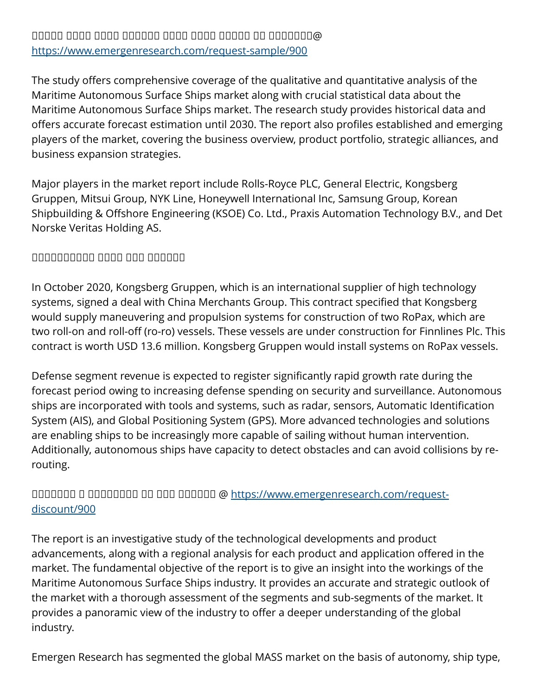The study offers comprehensive coverage of the qualitative and quantitative analysis of the Maritime Autonomous Surface Ships market along with crucial statistical data about the Maritime Autonomous Surface Ships market. The research study provides historical data and offers accurate forecast estimation until 2030. The report also profiles established and emerging players of the market, covering the business overview, product portfolio, strategic alliances, and business expansion strategies.

Major players in the market report include Rolls-Royce PLC, General Electric, Kongsberg Gruppen, Mitsui Group, NYK Line, Honeywell International Inc, Samsung Group, Korean Shipbuilding & Offshore Engineering (KSOE) Co. Ltd., Praxis Automation Technology B.V., and Det Norske Veritas Holding AS.

## ᵀᵂᵂᵂᵂᵂᵂᵂᵂᵂ ᵁᵂᵂᵂ ᵂᵂᵁ ᵁᵁᵂᵂᵂᵂ

In October 2020, Kongsberg Gruppen, which is an international supplier of high technology systems, signed a deal with China Merchants Group. This contract specified that Kongsberg would supply maneuvering and propulsion systems for construction of two RoPax, which are two roll-on and roll-off (ro-ro) vessels. These vessels are under construction for Finnlines Plc. This contract is worth USD 13.6 million. Kongsberg Gruppen would install systems on RoPax vessels.

Defense segment revenue is expected to register significantly rapid growth rate during the forecast period owing to increasing defense spending on security and surveillance. Autonomous ships are incorporated with tools and systems, such as radar, sensors, Automatic Identification System (AIS), and Global Positioning System (GPS). More advanced technologies and solutions are enabling ships to be increasingly more capable of sailing without human intervention. Additionally, autonomous ships have capacity to detect obstacles and can avoid collisions by rerouting.

## ᵁᵁᵂᵂᵁᵂᵂ ᵁ ᵁᵂᵂᵁᵂᵂᵂᵂ ᵂᵂ ᵂᵂᵁ ᵂᵁᵂᵂᵂᵂ @ [https://www.emergenresearch.com/request](https://www.emergenresearch.com/request-discount/900)[discount/900](https://www.emergenresearch.com/request-discount/900)

The report is an investigative study of the technological developments and product advancements, along with a regional analysis for each product and application offered in the market. The fundamental objective of the report is to give an insight into the workings of the Maritime Autonomous Surface Ships industry. It provides an accurate and strategic outlook of the market with a thorough assessment of the segments and sub-segments of the market. It provides a panoramic view of the industry to offer a deeper understanding of the global industry.

Emergen Research has segmented the global MASS market on the basis of autonomy, ship type,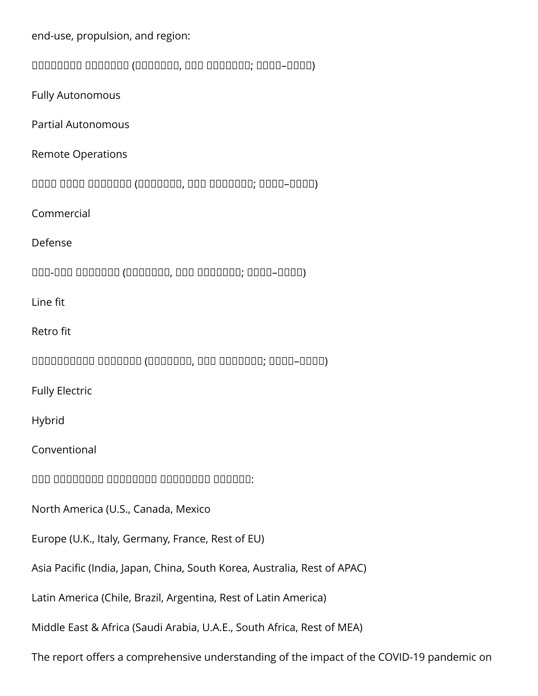end-use, propulsion, and region: ᵀᵂᵂᵂᵂᵂᵂᵃ ᵀᵂᵂᵂᵂᵂᵂ (ᵁᵁᵂᵁᵂᵂᵁ, ᵁᵁᵀ ᵀᵂᵂᵂᵂᵂᵂ; ᵽᵼᵼᵽ–ᵽᵼᵽᵼ) Fully Autonomous Partial Autonomous Remote Operations ᵁᵂᵂᵂ ᵁᵃᵂᵁ ᵀᵂᵂᵂᵂᵂᵂ (ᵁᵁᵂᵁᵂᵂᵁ, ᵁᵁᵀ ᵀᵂᵂᵂᵂᵂᵂ; ᵽᵼᵼᵽ–ᵽᵼᵽᵼ) Commercial Defense ᵀᵂᵁ-ᵂᵂᵁ ᵀᵂᵂᵂᵂᵂᵂ (ᵁᵁᵂᵁᵂᵂᵁ, ᵁᵁᵀ ᵀᵂᵂᵂᵂᵂᵂ; ᵽᵼᵼᵽ–ᵽᵼᵽᵼ) Line fit Retro fit ᵀᵂᵂᵂᵂᵂᵂᵂᵂᵂ ᵀᵂᵂᵂᵂᵂᵂ (ᵁᵁᵂᵁᵂᵂᵁ, ᵁᵁᵀ ᵀᵂᵂᵂᵂᵂᵂ; ᵽᵼᵼᵽ–ᵽᵼᵽᵼ) Fully Electric Hybrid Conventional  $\Box$ North America (U.S., Canada, Mexico Europe (U.K., Italy, Germany, France, Rest of EU) Asia Pacific (India, Japan, China, South Korea, Australia, Rest of APAC) Latin America (Chile, Brazil, Argentina, Rest of Latin America) Middle East & Africa (Saudi Arabia, U.A.E., South Africa, Rest of MEA) The report offers a comprehensive understanding of the impact of the COVID-19 pandemic on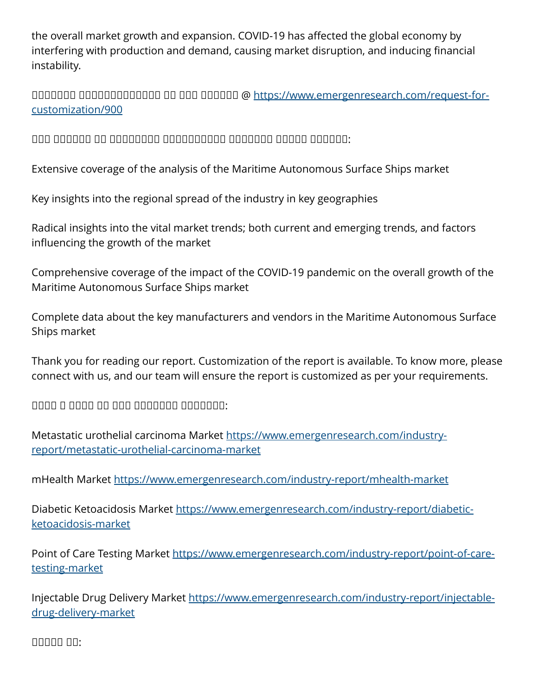the overall market growth and expansion. COVID-19 has affected the global economy by interfering with production and demand, causing market disruption, and inducing financial instability.

ᵁᵁᵂᵂᵁᵂᵂ ᵁᵂᵂᵂᵂᵂᵂᵃᵁᵂᵂᵂᵂ ᵂᵁ ᵂᵂᵁ ᵂᵁᵂᵂᵂᵂ @ [https://www.emergenresearch.com/request-for](https://www.emergenresearch.com/request-for-customization/900)[customization/900](https://www.emergenresearch.com/request-for-customization/900)

 $\Box$ 

Extensive coverage of the analysis of the Maritime Autonomous Surface Ships market

Key insights into the regional spread of the industry in key geographies

Radical insights into the vital market trends; both current and emerging trends, and factors influencing the growth of the market

Comprehensive coverage of the impact of the COVID-19 pandemic on the overall growth of the Maritime Autonomous Surface Ships market

Complete data about the key manufacturers and vendors in the Maritime Autonomous Surface Ships market

Thank you for reading our report. Customization of the report is available. To know more, please connect with us, and our team will ensure the report is customized as per your requirements.

 $\Box$ 

Metastatic urothelial carcinoma Market [https://www.emergenresearch.com/industry](https://www.emergenresearch.com/industry-report/metastatic-urothelial-carcinoma-market)[report/metastatic-urothelial-carcinoma-market](https://www.emergenresearch.com/industry-report/metastatic-urothelial-carcinoma-market)

mHealth Market <https://www.emergenresearch.com/industry-report/mhealth-market>

Diabetic Ketoacidosis Market [https://www.emergenresearch.com/industry-report/diabetic](https://www.emergenresearch.com/industry-report/diabetic-ketoacidosis-market)[ketoacidosis-market](https://www.emergenresearch.com/industry-report/diabetic-ketoacidosis-market)

Point of Care Testing Market [https://www.emergenresearch.com/industry-report/point-of-care](https://www.emergenresearch.com/industry-report/point-of-care-testing-market)[testing-market](https://www.emergenresearch.com/industry-report/point-of-care-testing-market)

Injectable Drug Delivery Market [https://www.emergenresearch.com/industry-report/injectable](https://www.emergenresearch.com/industry-report/injectable-drug-delivery-market)[drug-delivery-market](https://www.emergenresearch.com/industry-report/injectable-drug-delivery-market)

ᵀᵁᵂᵂᵂ ᵁᵂ: